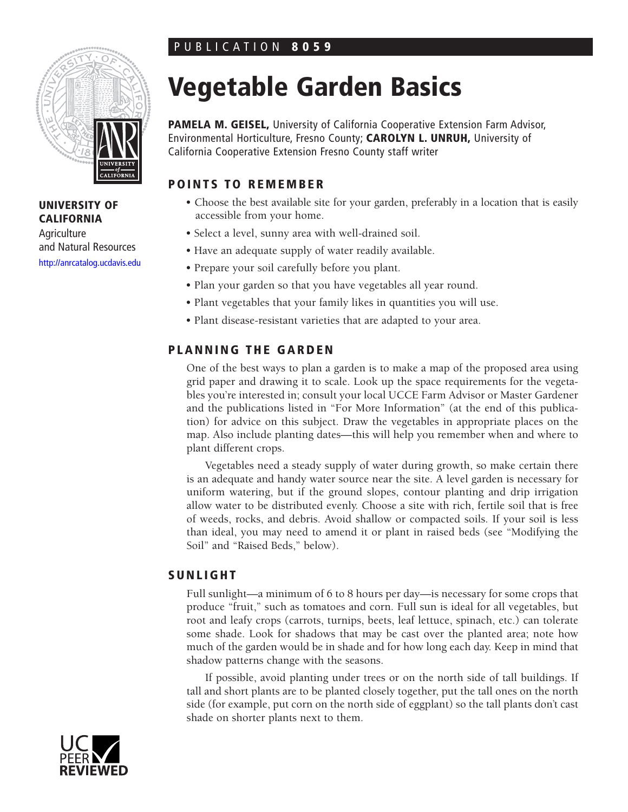# PUBLICATION **8059**



**UNIVERSITY OF CALIFORNIA**

**Agriculture** and Natural Resources <http://anrcatalog.ucdavis.edu>

# **Vegetable Garden Basics**

**PAMELA M. GEISEL,** University of California Cooperative Extension Farm Advisor, Environmental Horticulture, Fresno County; **CAROLYN L. UNRUH,** University of California Cooperative Extension Fresno County staff writer

# **POINTS TO REMEMBER**

- Choose the best available site for your garden, preferably in a location that is easily accessible from your home.
- Select a level, sunny area with well-drained soil.
- Have an adequate supply of water readily available.
- Prepare your soil carefully before you plant.
- Plan your garden so that you have vegetables all year round.
- Plant vegetables that your family likes in quantities you will use.
- Plant disease-resistant varieties that are adapted to your area.

## **PLANNING THE GARDEN**

One of the best ways to plan a garden is to make a map of the proposed area using grid paper and drawing it to scale. Look up the space requirements for the vegetables you're interested in; consult your local UCCE Farm Advisor or Master Gardener and the publications listed in "For More Information" (at the end of this publication) for advice on this subject. Draw the vegetables in appropriate places on the map. Also include planting dates—this will help you remember when and where to plant different crops.

Vegetables need a steady supply of water during growth, so make certain there is an adequate and handy water source near the site. A level garden is necessary for uniform watering, but if the ground slopes, contour planting and drip irrigation allow water to be distributed evenly. Choose a site with rich, fertile soil that is free of weeds, rocks, and debris. Avoid shallow or compacted soils. If your soil is less than ideal, you may need to amend it or plant in raised beds (see "Modifying the Soil" and "Raised Beds," below).

## **SUNLIGHT**

Full sunlight—a minimum of 6 to 8 hours per day—is necessary for some crops that produce "fruit," such as tomatoes and corn. Full sun is ideal for all vegetables, but root and leafy crops (carrots, turnips, beets, leaf lettuce, spinach, etc.) can tolerate some shade. Look for shadows that may be cast over the planted area; note how much of the garden would be in shade and for how long each day. Keep in mind that shadow patterns change with the seasons.

If possible, avoid planting under trees or on the north side of tall buildings. If tall and short plants are to be planted closely together, put the tall ones on the north side (for example, put corn on the north side of eggplant) so the tall plants don't cast shade on shorter plants next to them.

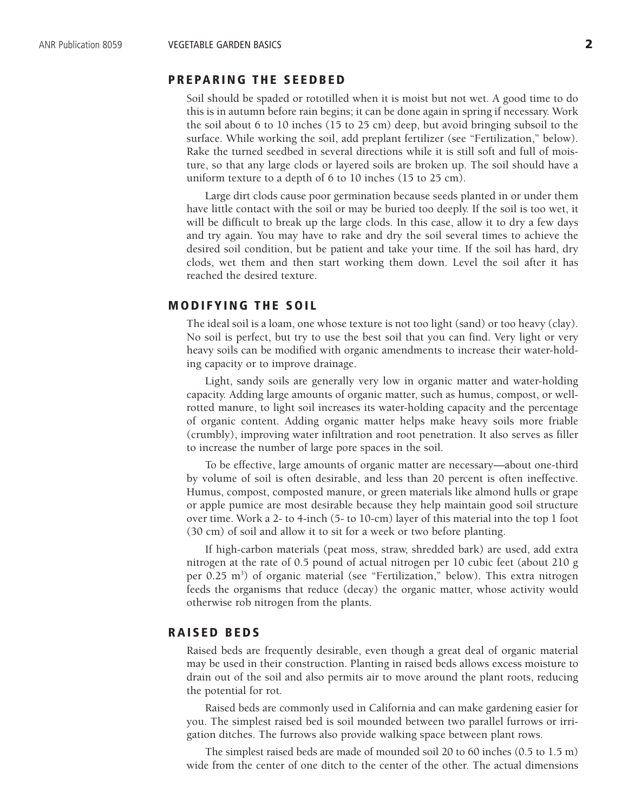### **PREPARING THE SEEDBED**

Soil should be spaded or rototilled when it is moist but not wet. A good time to do this is in autumn before rain begins; it can be done again in spring if necessary. Work the soil about 6 to 10 inches (15 to 25 cm) deep, but avoid bringing subsoil to the surface. While working the soil, add preplant fertilizer (see "Fertilization," below). Rake the turned seedbed in several directions while it is still soft and full of moisture, so that any large clods or layered soils are broken up. The soil should have a uniform texture to a depth of 6 to 10 inches (15 to 25 cm).

Large dirt clods cause poor germination because seeds planted in or under them have little contact with the soil or may be buried too deeply. If the soil is too wet, it will be difficult to break up the large clods. In this case, allow it to dry a few days and try again. You may have to rake and dry the soil several times to achieve the desired soil condition, but be patient and take your time. If the soil has hard, dry clods, wet them and then start working them down. Level the soil after it has reached the desired texture.

#### **MODIFYING THE SOIL**

The ideal soil is a loam, one whose texture is not too light (sand) or too heavy (clay). No soil is perfect, but try to use the best soil that you can find. Very light or very heavy soils can be modified with organic amendments to increase their water-holding capacity or to improve drainage.

Light, sandy soils are generally very low in organic matter and water-holding capacity. Adding large amounts of organic matter, such as humus, compost, or wellrotted manure, to light soil increases its water-holding capacity and the percentage of organic content. Adding organic matter helps make heavy soils more friable (crumbly), improving water infiltration and root penetration. It also serves as filler to increase the number of large pore spaces in the soil.

To be effective, large amounts of organic matter are necessary—about one-third by volume of soil is often desirable, and less than 20 percent is often ineffective. Humus, compost, composted manure, or green materials like almond hulls or grape or apple pumice are most desirable because they help maintain good soil structure over time. Work a 2- to 4-inch (5- to 10-cm) layer of this material into the top 1 foot (30 cm) of soil and allow it to sit for a week or two before planting.

If high-carbon materials (peat moss, straw, shredded bark) are used, add extra nitrogen at the rate of 0.5 pound of actual nitrogen per 10 cubic feet (about 210 g per 0.25 m<sup>3</sup>) of organic material (see "Fertilization," below). This extra nitrogen feeds the organisms that reduce (decay) the organic matter, whose activity would otherwise rob nitrogen from the plants.

#### **RAISED BEDS**

Raised beds are frequently desirable, even though a great deal of organic material may be used in their construction. Planting in raised beds allows excess moisture to drain out of the soil and also permits air to move around the plant roots, reducing the potential for rot.

Raised beds are commonly used in California and can make gardening easier for you. The simplest raised bed is soil mounded between two parallel furrows or irrigation ditches. The furrows also provide walking space between plant rows.

The simplest raised beds are made of mounded soil 20 to 60 inches (0.5 to 1.5 m) wide from the center of one ditch to the center of the other. The actual dimensions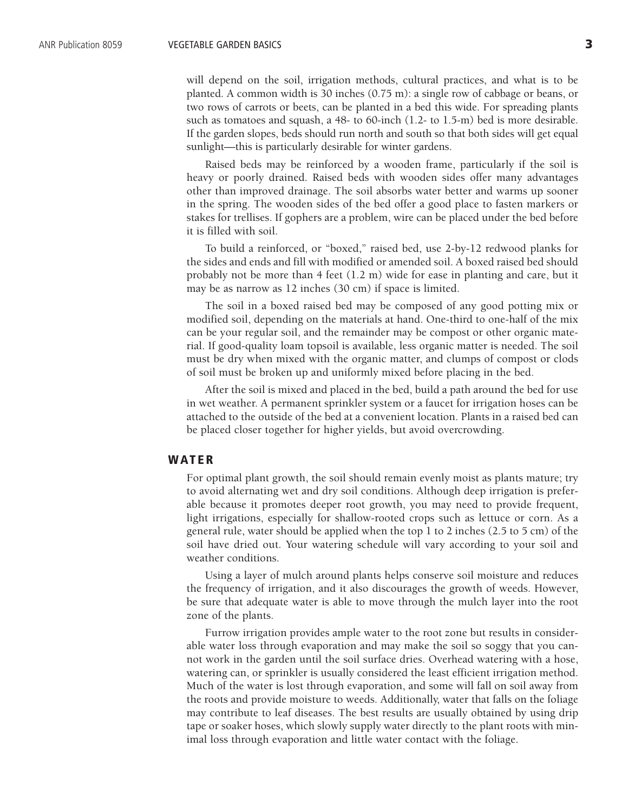will depend on the soil, irrigation methods, cultural practices, and what is to be planted. A common width is 30 inches (0.75 m): a single row of cabbage or beans, or two rows of carrots or beets, can be planted in a bed this wide. For spreading plants such as tomatoes and squash, a 48- to 60-inch (1.2- to 1.5-m) bed is more desirable. If the garden slopes, beds should run north and south so that both sides will get equal sunlight—this is particularly desirable for winter gardens.

Raised beds may be reinforced by a wooden frame, particularly if the soil is heavy or poorly drained. Raised beds with wooden sides offer many advantages other than improved drainage. The soil absorbs water better and warms up sooner in the spring. The wooden sides of the bed offer a good place to fasten markers or stakes for trellises. If gophers are a problem, wire can be placed under the bed before it is filled with soil.

To build a reinforced, or "boxed," raised bed, use 2-by-12 redwood planks for the sides and ends and fill with modified or amended soil. A boxed raised bed should probably not be more than 4 feet (1.2 m) wide for ease in planting and care, but it may be as narrow as 12 inches (30 cm) if space is limited.

The soil in a boxed raised bed may be composed of any good potting mix or modified soil, depending on the materials at hand. One-third to one-half of the mix can be your regular soil, and the remainder may be compost or other organic material. If good-quality loam topsoil is available, less organic matter is needed. The soil must be dry when mixed with the organic matter, and clumps of compost or clods of soil must be broken up and uniformly mixed before placing in the bed.

After the soil is mixed and placed in the bed, build a path around the bed for use in wet weather. A permanent sprinkler system or a faucet for irrigation hoses can be attached to the outside of the bed at a convenient location. Plants in a raised bed can be placed closer together for higher yields, but avoid overcrowding.

#### **W ATER**

For optimal plant growth, the soil should remain evenly moist as plants mature; try to avoid alternating wet and dry soil conditions. Although deep irrigation is preferable because it promotes deeper root growth, you may need to provide frequent, light irrigations, especially for shallow-rooted crops such as lettuce or corn. As a general rule, water should be applied when the top 1 to 2 inches (2.5 to 5 cm) of the soil have dried out. Your watering schedule will vary according to your soil and weather conditions.

Using a layer of mulch around plants helps conserve soil moisture and reduces the frequency of irrigation, and it also discourages the growth of weeds. However, be sure that adequate water is able to move through the mulch layer into the root zone of the plants.

Furrow irrigation provides ample water to the root zone but results in considerable water loss through evaporation and may make the soil so soggy that you cannot work in the garden until the soil surface dries. Overhead watering with a hose, watering can, or sprinkler is usually considered the least efficient irrigation method. Much of the water is lost through evaporation, and some will fall on soil away from the roots and provide moisture to weeds. Additionally, water that falls on the foliage may contribute to leaf diseases. The best results are usually obtained by using drip tape or soaker hoses, which slowly supply water directly to the plant roots with minimal loss through evaporation and little water contact with the foliage.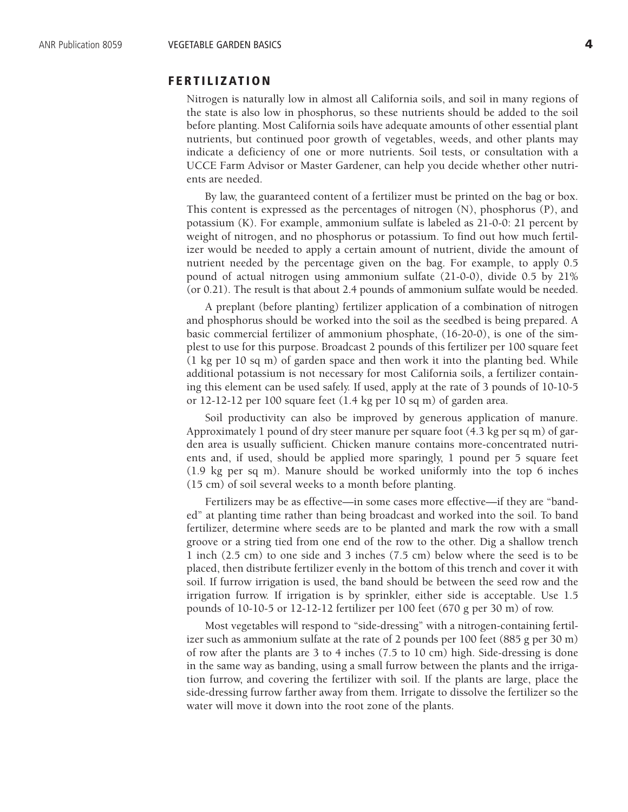#### **FERTILIZATION**

Nitrogen is naturally low in almost all California soils, and soil in many regions of the state is also low in phosphorus, so these nutrients should be added to the soil before planting. Most California soils have adequate amounts of other essential plant nutrients, but continued poor growth of vegetables, weeds, and other plants may indicate a deficiency of one or more nutrients. Soil tests, or consultation with a UCCE Farm Advisor or Master Gardener, can help you decide whether other nutrients are needed.

By law, the guaranteed content of a fertilizer must be printed on the bag or box. This content is expressed as the percentages of nitrogen (N), phosphorus (P), and potassium (K). For example, ammonium sulfate is labeled as 21-0-0: 21 percent by weight of nitrogen, and no phosphorus or potassium. To find out how much fertilizer would be needed to apply a certain amount of nutrient, divide the amount of nutrient needed by the percentage given on the bag. For example, to apply 0.5 pound of actual nitrogen using ammonium sulfate (21-0-0), divide 0.5 by 21% (or 0.21). The result is that about 2.4 pounds of ammonium sulfate would be needed.

A preplant (before planting) fertilizer application of a combination of nitrogen and phosphorus should be worked into the soil as the seedbed is being prepared. A basic commercial fertilizer of ammonium phosphate, (16-20-0), is one of the simplest to use for this purpose. Broadcast 2 pounds of this fertilizer per 100 square feet (1 kg per 10 sq m) of garden space and then work it into the planting bed. While additional potassium is not necessary for most California soils, a fertilizer containing this element can be used safely. If used, apply at the rate of 3 pounds of 10-10-5 or 12-12-12 per 100 square feet (1.4 kg per 10 sq m) of garden area.

Soil productivity can also be improved by generous application of manure. Approximately 1 pound of dry steer manure per square foot (4.3 kg per sq m) of garden area is usually sufficient. Chicken manure contains more-concentrated nutrients and, if used, should be applied more sparingly, 1 pound per 5 square feet (1.9 kg per sq m). Manure should be worked uniformly into the top 6 inches (15 cm) of soil several weeks to a month before planting.

Fertilizers may be as effective—in some cases more effective—if they are "banded" at planting time rather than being broadcast and worked into the soil. To band fertilizer, determine where seeds are to be planted and mark the row with a small groove or a string tied from one end of the row to the other. Dig a shallow trench 1 inch (2.5 cm) to one side and 3 inches (7.5 cm) below where the seed is to be placed, then distribute fertilizer evenly in the bottom of this trench and cover it with soil. If furrow irrigation is used, the band should be between the seed row and the irrigation furrow. If irrigation is by sprinkler, either side is acceptable. Use 1.5 pounds of 10-10-5 or 12-12-12 fertilizer per 100 feet (670 g per 30 m) of row.

Most vegetables will respond to "side-dressing" with a nitrogen-containing fertilizer such as ammonium sulfate at the rate of 2 pounds per 100 feet (885 g per 30 m) of row after the plants are 3 to 4 inches (7.5 to 10 cm) high. Side-dressing is done in the same way as banding, using a small furrow between the plants and the irrigation furrow, and covering the fertilizer with soil. If the plants are large, place the side-dressing furrow farther away from them. Irrigate to dissolve the fertilizer so the water will move it down into the root zone of the plants.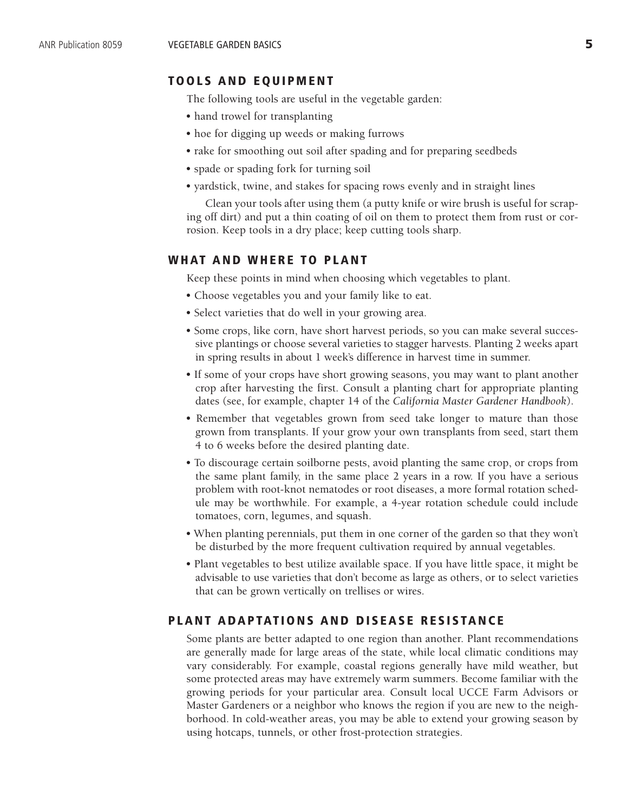#### **TOOLS AND EQUIPMENT**

The following tools are useful in the vegetable garden:

- hand trowel for transplanting
- hoe for digging up weeds or making furrows
- rake for smoothing out soil after spading and for preparing seedbeds
- spade or spading fork for turning soil
- yardstick, twine, and stakes for spacing rows evenly and in straight lines

Clean your tools after using them (a putty knife or wire brush is useful for scraping off dirt) and put a thin coating of oil on them to protect them from rust or corrosion. Keep tools in a dry place; keep cutting tools sharp.

#### **WHAT AND WHERE TO PLANT**

Keep these points in mind when choosing which vegetables to plant.

- Choose vegetables you and your family like to eat.
- Select varieties that do well in your growing area.
- Some crops, like corn, have short harvest periods, so you can make several successive plantings or choose several varieties to stagger harvests. Planting 2 weeks apart in spring results in about 1 week's difference in harvest time in summer.
- If some of your crops have short growing seasons, you may want to plant another crop after harvesting the first. Consult a planting chart for appropriate planting dates (see, for example, chapter 14 of the *California Master Gardener Handbook*).
- Remember that vegetables grown from seed take longer to mature than those grown from transplants. If your grow your own transplants from seed, start them 4 to 6 weeks before the desired planting date.
- To discourage certain soilborne pests, avoid planting the same crop, or crops from the same plant family, in the same place 2 years in a row. If you have a serious problem with root-knot nematodes or root diseases, a more formal rotation schedule may be worthwhile. For example, a 4-year rotation schedule could include tomatoes, corn, legumes, and squash.
- When planting perennials, put them in one corner of the garden so that they won't be disturbed by the more frequent cultivation required by annual vegetables.
- Plant vegetables to best utilize available space. If you have little space, it might be advisable to use varieties that don't become as large as others, or to select varieties that can be grown vertically on trellises or wires.

## **PLANT ADAPTATIONS AND DISEASE RESISTANCE**

Some plants are better adapted to one region than another. Plant recommendations are generally made for large areas of the state, while local climatic conditions may vary considerably. For example, coastal regions generally have mild weather, but some protected areas may have extremely warm summers. Become familiar with the growing periods for your particular area. Consult local UCCE Farm Advisors or Master Gardeners or a neighbor who knows the region if you are new to the neighborhood. In cold-weather areas, you may be able to extend your growing season by using hotcaps, tunnels, or other frost-protection strategies.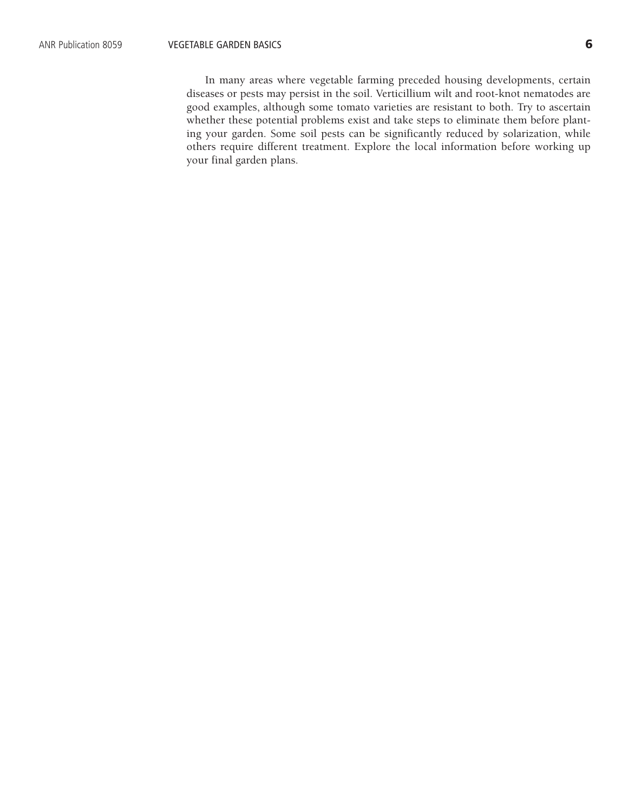In many areas where vegetable farming preceded housing developments, certain diseases or pests may persist in the soil. Verticillium wilt and root-knot nematodes are good examples, although some tomato varieties are resistant to both. Try to ascertain whether these potential problems exist and take steps to eliminate them before planting your garden. Some soil pests can be significantly reduced by solarization, while others require different treatment. Explore the local information before working up your final garden plans.